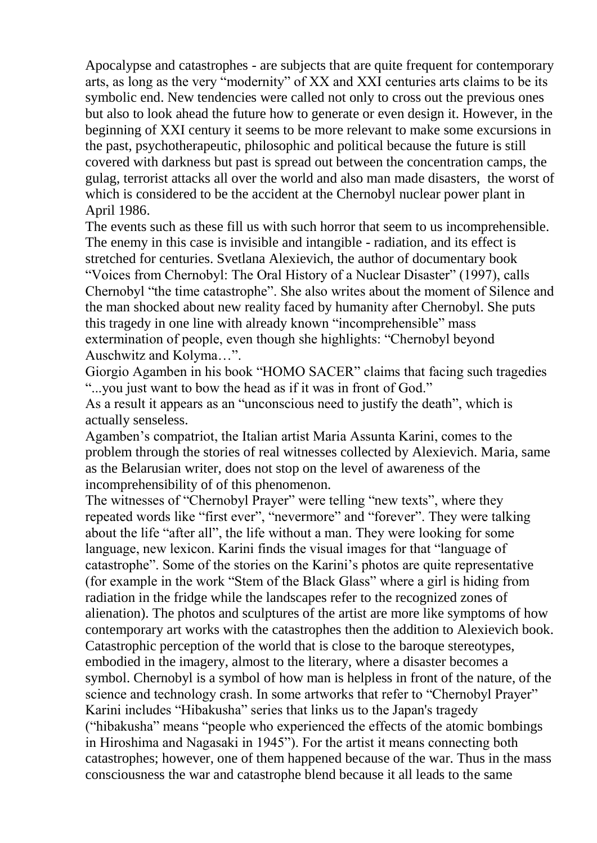Apocalypse and catastrophes - are subjects that are quite frequent for contemporary arts, as long as the very "modernity" of XX and XXI centuries arts claims to be its symbolic end. New tendencies were called not only to cross out the previous ones but also to look ahead the future how to generate or even design it. However, in the beginning of XXI century it seems to be more relevant to make some excursions in the past, psychotherapeutic, philosophic and political because the future is still covered with darkness but past is spread out between the concentration camps, the gulag, terrorist attacks all over the world and also man made disasters, the worst of which is considered to be the accident at the Chernobyl nuclear power plant in April 1986.

The events such as these fill us with such horror that seem to us incomprehensible. The enemy in this case is invisible and intangible - radiation, and its effect is stretched for centuries. Svetlana Alexievich, the author of documentary book "Voices from Chernobyl: The Oral History of a Nuclear Disaster" (1997), calls Chernobyl "the time catastrophe". She also writes about the moment of Silence and the man shocked about new reality faced by humanity after Chernobyl. She puts this tragedy in one line with already known "incomprehensible" mass extermination of people, even though she highlights: "Chernobyl beyond Auschwitz and Kolyma…".

Giorgio Agamben in his book "HOMO SACER" claims that facing such tragedies "...you just want to bow the head as if it was in front of God." As a result it appears as an "unconscious need to justify the death", which is actually senseless.

Agamben's compatriot, the Italian artist Maria Assunta Karini, comes to the problem through the stories of real witnesses collected by Alexievich. Maria, same as the Belarusian writer, does not stop on the level of awareness of the incomprehensibility of of this phenomenon.

The witnesses of "Chernobyl Prayer" were telling "new texts", where they repeated words like "first ever", "nevermore" and "forever". They were talking about the life "after all", the life without a man. They were looking for some language, new lexicon. Karini finds the visual images for that "language of catastrophe". Some of the stories on the Karini's photos are quite representative (for example in the work "Stem of the Black Glass" where a girl is hiding from radiation in the fridge while the landscapes refer to the recognized zones of alienation). The photos and sculptures of the artist are more like symptoms of how contemporary art works with the catastrophes then the addition to Alexievich book. Catastrophic perception of the world that is close to the baroque stereotypes, embodied in the imagery, almost to the literary, where a disaster becomes a symbol. Chernobyl is a symbol of how man is helpless in front of the nature, of the science and technology crash. In some artworks that refer to "Chernobyl Prayer" Karini includes "Hibakusha" series that links us to the Japan's tragedy ("hibakusha" means "people who experienced the effects of the atomic bombings in Hiroshima and Nagasaki in 1945"). For the artist it means connecting both catastrophes; however, one of them happened because of the war. Thus in the mass consciousness the war and catastrophe blend because it all leads to the same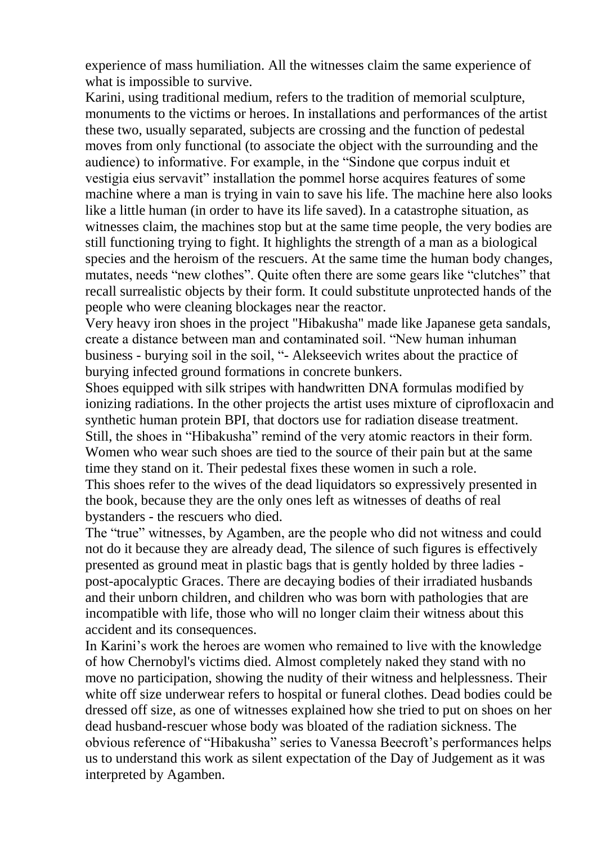experience of mass humiliation. All the witnesses claim the same experience of what is impossible to survive.

Karini, using traditional medium, refers to the tradition of memorial sculpture, monuments to the victims or heroes. In installations and performances of the artist these two, usually separated, subjects are crossing and the function of pedestal moves from only functional (to associate the object with the surrounding and the audience) to informative. For example, in the "Sindone que corpus induit et vestigia eius servavit" installation the pommel horse acquires features of some machine where a man is trying in vain to save his life. The machine here also looks like a little human (in order to have its life saved). In a catastrophe situation, as witnesses claim, the machines stop but at the same time people, the very bodies are still functioning trying to fight. It highlights the strength of a man as a biological species and the heroism of the rescuers. At the same time the human body changes, mutates, needs "new clothes". Quite often there are some gears like "clutches" that recall surrealistic objects by their form. It could substitute unprotected hands of the people who were cleaning blockages near the reactor.

Very heavy iron shoes in the project "Hibakusha" made like Japanese geta sandals, create a distance between man and contaminated soil. "New human inhuman business - burying soil in the soil, "- Alekseevich writes about the practice of burying infected ground formations in concrete bunkers.

Shoes equipped with silk stripes with handwritten DNA formulas modified by ionizing radiations. In the other projects the artist uses mixture of ciprofloxacin and synthetic human protein BPI, that doctors use for radiation disease treatment. Still, the shoes in "Hibakusha" remind of the very atomic reactors in their form. Women who wear such shoes are tied to the source of their pain but at the same time they stand on it. Their pedestal fixes these women in such a role. This shoes refer to the wives of the dead liquidators so expressively presented in the book, because they are the only ones left as witnesses of deaths of real bystanders - the rescuers who died.

The "true" witnesses, by Agamben, are the people who did not witness and could not do it because they are already dead, The silence of such figures is effectively presented as ground meat in plastic bags that is gently holded by three ladies post-apocalyptic Graces. There are decaying bodies of their irradiated husbands and their unborn children, and children who was born with pathologies that are incompatible with life, those who will no longer claim their witness about this accident and its consequences.

In Karini's work the heroes are women who remained to live with the knowledge of how Chernobyl's victims died. Almost completely naked they stand with no move no participation, showing the nudity of their witness and helplessness. Their white off size underwear refers to hospital or funeral clothes. Dead bodies could be dressed off size, as one of witnesses explained how she tried to put on shoes on her dead husband-rescuer whose body was bloated of the radiation sickness. The obvious reference of "Hibakusha" series to Vanessa Beecroft's performances helps us to understand this work as silent expectation of the Day of Judgement as it was interpreted by Agamben.